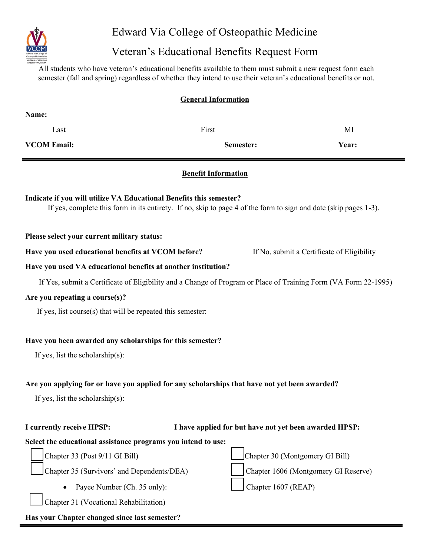

# Edward Via College of Osteopathic Medicine

# Veteran's Educational Benefits Request Form

All students who have veteran's educational benefits available to them must submit a new request form each semester (fall and spring) regardless of whether they intend to use their veteran's educational benefits or not.

| <b>General Information</b>                                                                                                                                                              |           |                                            |
|-----------------------------------------------------------------------------------------------------------------------------------------------------------------------------------------|-----------|--------------------------------------------|
| Name:                                                                                                                                                                                   |           |                                            |
| Last                                                                                                                                                                                    | First     | MI                                         |
| <b>VCOM Email:</b>                                                                                                                                                                      | Semester: | Year:                                      |
| <b>Benefit Information</b>                                                                                                                                                              |           |                                            |
| Indicate if you will utilize VA Educational Benefits this semester?<br>If yes, complete this form in its entirety. If no, skip to page 4 of the form to sign and date (skip pages 1-3). |           |                                            |
| Please select your current military status:                                                                                                                                             |           |                                            |
| Have you used educational benefits at VCOM before?                                                                                                                                      |           | If No, submit a Certificate of Eligibility |
| Have you used VA educational benefits at another institution?                                                                                                                           |           |                                            |
| If Yes, submit a Certificate of Eligibility and a Change of Program or Place of Training Form (VA Form 22-1995)                                                                         |           |                                            |
| Are you repeating a course(s)?                                                                                                                                                          |           |                                            |
| If yes, list course(s) that will be repeated this semester:                                                                                                                             |           |                                            |
| Have you been awarded any scholarships for this semester?<br>If yes, list the scholarship(s):                                                                                           |           |                                            |
| Are you applying for or have you applied for any scholarships that have not yet been awarded?                                                                                           |           |                                            |
| If yes, list the scholarship(s):                                                                                                                                                        |           |                                            |
| I currently receive HPSP:<br>I have applied for but have not yet been awarded HPSP:                                                                                                     |           |                                            |
| Select the educational assistance programs you intend to use:                                                                                                                           |           |                                            |
| Chapter 33 (Post 9/11 GI Bill)                                                                                                                                                          |           | Chapter 30 (Montgomery GI Bill)            |
| Chapter 35 (Survivors' and Dependents/DEA)                                                                                                                                              |           | Chapter 1606 (Montgomery GI Reserve)       |
| Payee Number (Ch. 35 only):                                                                                                                                                             |           | Chapter 1607 (REAP)                        |
| Chapter 31 (Vocational Rehabilitation)                                                                                                                                                  |           |                                            |
| Has your Chapter changed since last semester?                                                                                                                                           |           |                                            |
|                                                                                                                                                                                         |           |                                            |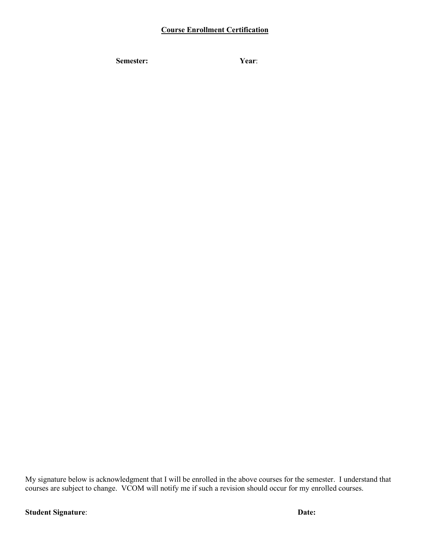### **Course Enrollment Certification**

**Semester:**

**Year**:

My signature below is acknowledgment that I will be enrolled in the above courses for the semester. I understand that courses are subject to change. VCOM will notify me if such a revision should occur for my enrolled courses.

**Student Signature**: **Date:**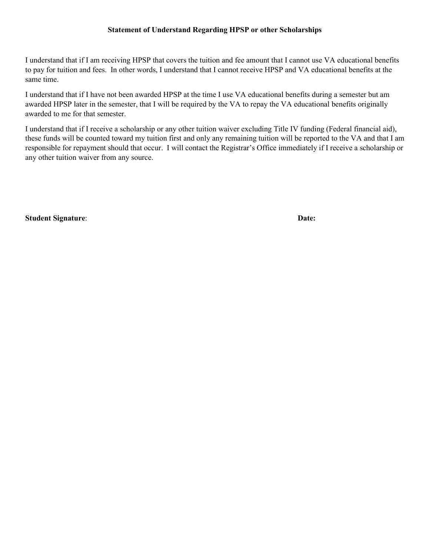### **Statement of Understand Regarding HPSP or other Scholarships**

I understand that if I am receiving HPSP that covers the tuition and fee amount that I cannot use VA educational benefits to pay for tuition and fees. In other words, I understand that I cannot receive HPSP and VA educational benefits at the same time.

I understand that if I have not been awarded HPSP at the time I use VA educational benefits during a semester but am awarded HPSP later in the semester, that I will be required by the VA to repay the VA educational benefits originally awarded to me for that semester.

I understand that if I receive a scholarship or any other tuition waiver excluding Title IV funding (Federal financial aid), these funds will be counted toward my tuition first and only any remaining tuition will be reported to the VA and that I am responsible for repayment should that occur. I will contact the Registrar's Office immediately if I receive a scholarship or any other tuition waiver from any source.

**Student Signature**: **Date:**